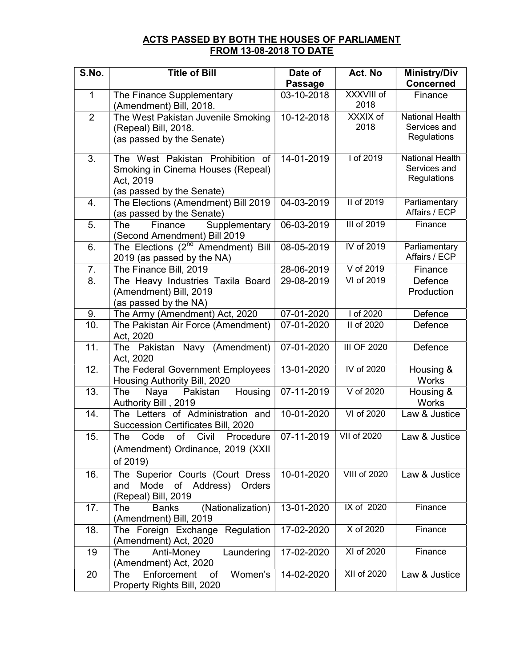## ACTS PASSED BY BOTH THE HOUSES OF PARLIAMENT FROM 13-08-2018 TO DATE

| S.No.          | <b>Title of Bill</b>                                                    | Date of<br><b>Passage</b> | Act. No             | <b>Ministry/Div</b><br><b>Concerned</b> |
|----------------|-------------------------------------------------------------------------|---------------------------|---------------------|-----------------------------------------|
| 1              | The Finance Supplementary                                               | $03 - 10 - 2018$          | XXXVIII of          | Finance                                 |
|                | (Amendment) Bill, 2018.                                                 |                           | 2018                |                                         |
| $\overline{2}$ | The West Pakistan Juvenile Smoking                                      | 10-12-2018                | XXXIX of            | <b>National Health</b>                  |
|                | (Repeal) Bill, 2018.                                                    |                           | 2018                | Services and                            |
|                | (as passed by the Senate)                                               |                           |                     | Regulations                             |
| 3.             | The West Pakistan Prohibition of                                        | 14-01-2019                | I of 2019           | <b>National Health</b>                  |
|                | Smoking in Cinema Houses (Repeal)                                       |                           |                     | Services and                            |
|                | Act, 2019                                                               |                           |                     | Regulations                             |
|                | (as passed by the Senate)                                               |                           |                     |                                         |
| 4.             | The Elections (Amendment) Bill 2019                                     | 04-03-2019                | II of 2019          | Parliamentary                           |
|                | (as passed by the Senate)                                               |                           |                     | Affairs / ECP                           |
| 5.             | Supplementary<br>The<br>Finance                                         | 06-03-2019                | III of 2019         | Finance                                 |
|                | (Second Amendment) Bill 2019                                            |                           | IV of 2019          |                                         |
| 6.             | The Elections (2 <sup>nd</sup> Amendment) Bill                          | 08-05-2019                |                     | Parliamentary<br>Affairs / ECP          |
| 7.             | 2019 (as passed by the NA)<br>The Finance Bill, 2019                    | 28-06-2019                | V of 2019           | Finance                                 |
| 8.             | The Heavy Industries Taxila Board                                       | 29-08-2019                | VI of 2019          | Defence                                 |
|                | (Amendment) Bill, 2019                                                  |                           |                     | Production                              |
|                | (as passed by the NA)                                                   |                           |                     |                                         |
| 9.             | The Army (Amendment) Act, 2020                                          | 07-01-2020                | I of 2020           | Defence                                 |
| 10.            | The Pakistan Air Force (Amendment)                                      | 07-01-2020                | II of 2020          | Defence                                 |
|                | Act, 2020                                                               |                           |                     |                                         |
| 11.            | The Pakistan Navy (Amendment)                                           | 07-01-2020                | <b>III OF 2020</b>  | Defence                                 |
|                | Act, 2020                                                               |                           |                     |                                         |
| 12.            | The Federal Government Employees                                        | 13-01-2020                | IV of 2020          | Housing &                               |
|                | Housing Authority Bill, 2020                                            |                           |                     | Works                                   |
| 13.            | Pakistan<br>Housing<br>The<br>Naya                                      | 07-11-2019                | V of 2020           | Housing &                               |
|                | Authority Bill, 2019                                                    |                           |                     | Works                                   |
| 14.            | The Letters of Administration and<br>Succession Certificates Bill, 2020 | 10-01-2020                | VI of 2020          | Law & Justice                           |
| 15.            | of<br>Civil<br>Code<br>Procedure<br>The                                 | 07-11-2019                | VII of 2020         | Law & Justice                           |
|                |                                                                         |                           |                     |                                         |
|                | (Amendment) Ordinance, 2019 (XXII                                       |                           |                     |                                         |
|                | of 2019)                                                                |                           |                     |                                         |
| 16.            | The Superior Courts (Court Dress                                        | 10-01-2020                | <b>VIII of 2020</b> | Law & Justice                           |
|                | Mode<br>Address)<br>and<br>of<br>Orders<br>(Repeal) Bill, 2019          |                           |                     |                                         |
| 17.            | (Nationalization)<br><b>Banks</b><br>The                                | $13 - 01 - 2020$          | IX of 2020          | Finance                                 |
|                | (Amendment) Bill, 2019                                                  |                           |                     |                                         |
| 18.            | The Foreign Exchange Regulation                                         | 17-02-2020                | X of 2020           | Finance                                 |
|                | (Amendment) Act, 2020                                                   |                           |                     |                                         |
| 19             | Anti-Money<br>Laundering<br>The                                         | 17-02-2020                | XI of 2020          | Finance                                 |
|                | (Amendment) Act, 2020                                                   |                           |                     |                                         |
| 20             | Enforcement<br>Women's<br>The<br>of                                     | 14-02-2020                | XII of 2020         | Law & Justice                           |
|                | Property Rights Bill, 2020                                              |                           |                     |                                         |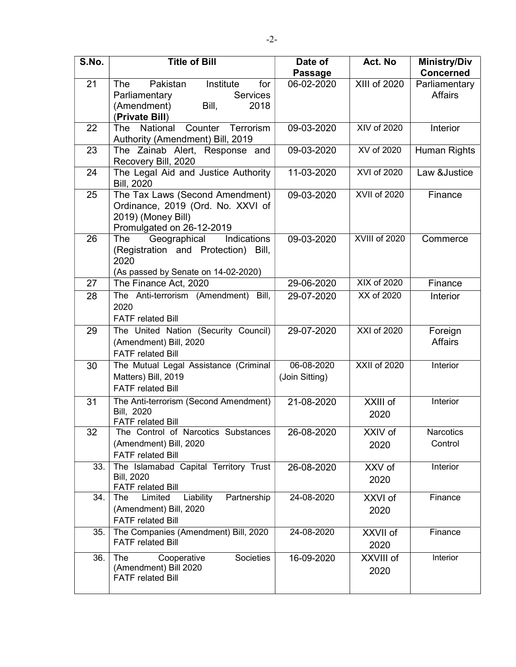| S.No. | <b>Title of Bill</b>                                                                                                             | Date of<br><b>Passage</b>    | Act. No             | <b>Ministry/Div</b><br><b>Concerned</b> |
|-------|----------------------------------------------------------------------------------------------------------------------------------|------------------------------|---------------------|-----------------------------------------|
| 21    | Pakistan<br>Institute<br>for<br><b>The</b><br><b>Services</b><br>Parliamentary<br>(Amendment)<br>Bill,<br>2018<br>(Private Bill) | 06-02-2020                   | XIII of 2020        | Parliamentary<br><b>Affairs</b>         |
| 22    | Counter<br>Terrorism<br>National<br><b>The</b><br>Authority (Amendment) Bill, 2019                                               | 09-03-2020                   | XIV of 2020         | Interior                                |
| 23    | The Zainab Alert, Response and<br>Recovery Bill, 2020                                                                            | 09-03-2020                   | XV of 2020          | <b>Human Rights</b>                     |
| 24    | The Legal Aid and Justice Authority<br><b>Bill, 2020</b>                                                                         | 11-03-2020                   | XVI of 2020         | Law &Justice                            |
| 25    | The Tax Laws (Second Amendment)<br>Ordinance, 2019 (Ord. No. XXVI of<br>2019) (Money Bill)<br>Promulgated on 26-12-2019          | 09-03-2020                   | <b>XVII of 2020</b> | Finance                                 |
| 26    | Geographical<br>Indications<br>The<br>(Registration and Protection) Bill,<br>2020<br>(As passed by Senate on 14-02-2020)         | 09-03-2020                   | XVIII of 2020       | Commerce                                |
| 27    | The Finance Act, 2020                                                                                                            | 29-06-2020                   | <b>XIX of 2020</b>  | Finance                                 |
| 28    | The Anti-terrorism (Amendment) Bill,<br>2020<br><b>FATF</b> related Bill                                                         | 29-07-2020                   | XX of 2020          | Interior                                |
| 29    | The United Nation (Security Council)<br>(Amendment) Bill, 2020<br><b>FATF</b> related Bill                                       | 29-07-2020                   | XXI of 2020         | Foreign<br><b>Affairs</b>               |
| 30    | The Mutual Legal Assistance (Criminal<br>Matters) Bill, 2019<br><b>FATF related Bill</b>                                         | 06-08-2020<br>(Join Sitting) | <b>XXII of 2020</b> | Interior                                |
| 31    | The Anti-terrorism (Second Amendment)<br>Bill, 2020<br><b>FATF</b> related Bill                                                  | 21-08-2020                   | XXIII of<br>2020    | Interior                                |
| 32    | The Control of Narcotics Substances<br>(Amendment) Bill, 2020<br><b>FATF related Bill</b>                                        | 26-08-2020                   | XXIV of<br>2020     | <b>Narcotics</b><br>Control             |
| 33.   | The Islamabad Capital Territory Trust<br><b>Bill, 2020</b><br><b>FATF related Bill</b>                                           | 26-08-2020                   | XXV of<br>2020      | Interior                                |
| 34.   | Partnership<br>Limited<br>Liability<br>The<br>(Amendment) Bill, 2020<br><b>FATF related Bill</b>                                 | 24-08-2020                   | XXVI of<br>2020     | Finance                                 |
| 35.   | The Companies (Amendment) Bill, 2020<br><b>FATF related Bill</b>                                                                 | 24-08-2020                   | XXVII of<br>2020    | Finance                                 |
| 36.   | Societies<br>The<br>Cooperative<br>(Amendment) Bill 2020<br><b>FATF related Bill</b>                                             | 16-09-2020                   | XXVIII of<br>2020   | Interior                                |